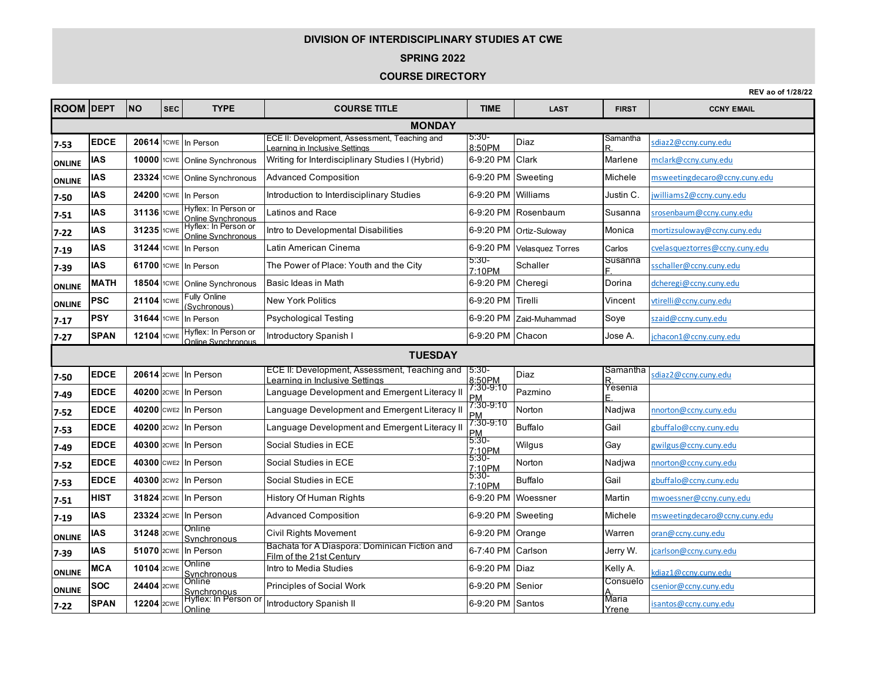## **DIVISION OF INTERDISCIPLINARY STUDIES AT CWE**

## **SPRING 2022**

## **COURSE DIRECTORY**

**REV ao of 1/28/22**

widdle<br>Yrene isantos@ccny.cuny.edu

**ROOM DEPT NO SEC TYPE COURSE TITLE TIME LAST FIRST CCNY EMAIL 7-53 EDCE 20614 COME** In Person **ECE II: Development, Assessment, Teaching and** earning in Inclusive Settings 5:30- 5:30-<br>8:50PM Diaz - Samantha R Samantha sdiaz2@ccny.cuny.edu **ONLINE AS** 10000 <sup>1</sup> CWE Online Synchronous Writing for Interdisciplinary Studies I (Hybrid) 6-9:20 PM Clark Marlene Marlene <u>mclark@ccny.cuny.edu</u> **ONLINE**  $|$  **IAS**  $|$  23324  $|$ <sup>1CWE</sup> Online Synchronous Advanced Composition **6-9:20 PM** Sweeting Michele **Michele** msweetingdecaro@ccny.cuny.edu **7-50 │IAS │ 24200│□**CWE │In Person │Introduction to Interdisciplinary Studies │6-9:20 PM │Williams │Justin C. <u>│williams2@ccny.cuny.edu</u> **7-51 IAS 31136 1CWE Hyflex: In Person or Online Synchronous** Online Synchronous | Latinos and Race **6-9:20 PM Rosenbaum | Susanna** Susanna | Susanna | Susanna | Susanna | Susanna | Susanna | Susanna | Susanna | Susanna | Susanna | Susanna | Susanna | Susanna | Susanna | Susanna | Su **7-22 IAS 31235 ICWE Hyflex: In Person or CONS** Intro to Developmental Disabilities **6-9:20 PM Ortiz-Suloway** Monica mortizsuloway **Monica** mortizsuloway Monica mortizsuloway Monica mortizsuloway mortizsuloway mortizsuloway mortizsuloway mortizsuloway mortizsuloway mort **7-19 <b>IAS** 31244 1CWE In Person Latin American Cinema 6-9:20 PM Velasquez Torres Carlos c<u>velasqueztorres@ccny.cuny.edu</u><br>And corresponding the contract of the contract of the City of the City of the City of the City of th **7-39 IAS 61700** 1CWE In Person The Power of Place: Youth and the City **10.30-** 17:10 PM 5:30-<br>7:10PM Schaller Susanna<br>F. schaller@ccny.cuny.edu **ONLINE MATH** | 18504 1cwe Online Synchronous Basic Ideas in Math 6-9:20 PM Cheregi Portina de<u>dcheregi@ccny.cuny.edu</u> **ONLINE PSC <sup>21104</sup>** 1CWE Fully Online Fully Of the Charles Mew York Politics **New York Politics** 6-9:20 PM Tirelli Vincent vtirelli@ccny.cuny.edu<br>Sychronous) **7-17 PSY 31644** I<sup>cwE</sup> In Person Psychological Testing 6-9:20 PM Zaid-Muhammad Soye <mark>szaid@ccny.cuny.edu</mark> **7-27 SPAN 12104** <sup>1CWE</sup> Hyflex: In Person or Online Synchronous Introductory Spanish I 6-9:20 PM Chacon Jose A. ichacon1@ccny.cuny.edu<br>Online Synchronous Introductory Spanish I **7-50 EDCE** 20614 2CWE In Person **ECE II: Development, Assessment, Teaching and** Learning in Inclusive Settings 5:30- 5:30- Diaz Samantha<br>8:50PM Diaz R.<br>7:30-9:10 Diazarta Yesenia sdiaz2@ccny.cuny.edu **7-49 EDCE** 40200 <sup>2CWE</sup> In Person Language Development and Emergent Literacy II  $\begin{bmatrix} 1.30 \\ PM \end{bmatrix}$ 7:30-9:10 Pazmino Yesenia<br>PM y y Pazmino E. E. **7-52 EDCE 40200** CWE2 In Person Language Development and Emergent Literacy II  $\frac{7.30-9.10}{PM}$ Norton Nadjwa nnorton@ccny.cuny.edu **7-53 EDCE 40200** <sup>2CW2</sup> In Person Language Development and Emergent Literacy II  $\frac{17.30-8}{P(M)}$ Buffalo Gail gbuffalo@ccny.cuny.edu **7-49 EDCE 40300** 2CWE In Person Social Studies in ECE **12.10F** 5:30-3.30-<br>7:10PM Wilgus Gay gwilgus@ccny.cuny.edu<br>5:30-**7-52 EDCE 40300** CWE2 In Person Social Studies in ECE **17:10P** 7:10P 7:10PM Norton Nadjwa nnorton@ccny.cuny.edu **7-53 EDCE**  $\begin{bmatrix} 40300 \\ 20002 \end{bmatrix}$  2007 **Social Studies in ECE** 5:30-**7:10PM Buffalo** Buffalo Buffalo Gail gbuffalo @ccny.cuny.edu **7-51 HIST 31824** <sup>2CWE</sup> In Person History Of Human Rights 6-9:20 PM Woessner Martin mwoessner@ccny.cuny.edu **7-19 IAS 23324** 2CWE In Person Advanced Composition 6-9:20 PM Sweeting Michele msweetingdecaro@ccny.cuny.edu **ONLINE AS** 31248 2CWE Synchronous Synchronous Civil Rights Movement 6-9:20 PM Orange Warren oran@ccny.cuny.edu<br>Synchronous Civil Rights Movement **7-39 IAS 51070** 2CWE In Person **Bachata for A Diaspora: Dominican Fiction and <b>Film of the 21st Century** Bachala lui A Diaspula. Duminican Fiction and **6-7:40 PM** Carlson **1996** Jerry W. <u>Jicarlson@ccny.cuny.edu</u><br>Film of the 21st Century **ONLINE MCA <sup>10104</sup>** 2CWE Online Synchronous Intro to Media Studies 6-9:20 PM Diaz Kelly A. Kelly A. kdiaz1@ccny.cuny.edu **ONLINE SOC <sup>24404</sup>** 2CWE Online Online Consuelo<br>Synchronous Principles of Social Work 6-9:20 PM Senior Consuelo Consuelo<br>A. csenior@ccny.cuny.edu<br>Maria **THE SEAN 12204** 2CWE Hyflex: In Person or<br>**7-22 SPAN** 12204 2CWE Online Pyllex: In Person or Introductory Spanish II 6-9:20 PM Santos Maria **TUESDAY MONDAY**